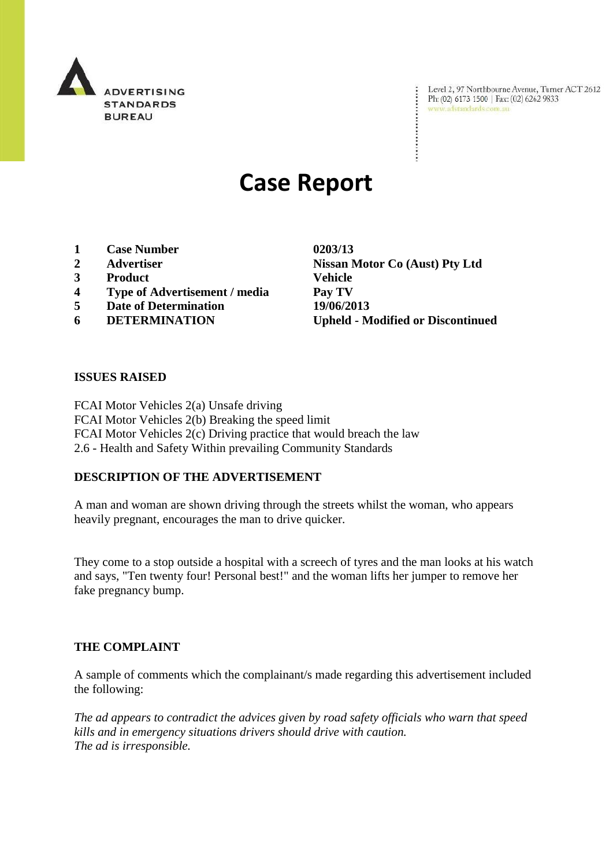

Level 2, 97 Northbourne Avenue, Turner ACT 2612<br>Ph: (02) 6173 1500 | Fax: (02) 6262 9833<br>www.adstandards.com.au

# **Case Report**

- **1 Case Number 0203/13**
- 
- **3 Product Vehicle**
- **4 Type of Advertisement / media Pay TV**
- **5 Date of Determination 19/06/2013**
- 

**2 Advertiser Nissan Motor Co (Aust) Pty Ltd 6 DETERMINATION Upheld - Modified or Discontinued**

#### **ISSUES RAISED**

FCAI Motor Vehicles 2(a) Unsafe driving FCAI Motor Vehicles 2(b) Breaking the speed limit FCAI Motor Vehicles 2(c) Driving practice that would breach the law 2.6 - Health and Safety Within prevailing Community Standards

## **DESCRIPTION OF THE ADVERTISEMENT**

A man and woman are shown driving through the streets whilst the woman, who appears heavily pregnant, encourages the man to drive quicker.

They come to a stop outside a hospital with a screech of tyres and the man looks at his watch and says, "Ten twenty four! Personal best!" and the woman lifts her jumper to remove her fake pregnancy bump.

## **THE COMPLAINT**

A sample of comments which the complainant/s made regarding this advertisement included the following:

*The ad appears to contradict the advices given by road safety officials who warn that speed kills and in emergency situations drivers should drive with caution. The ad is irresponsible.*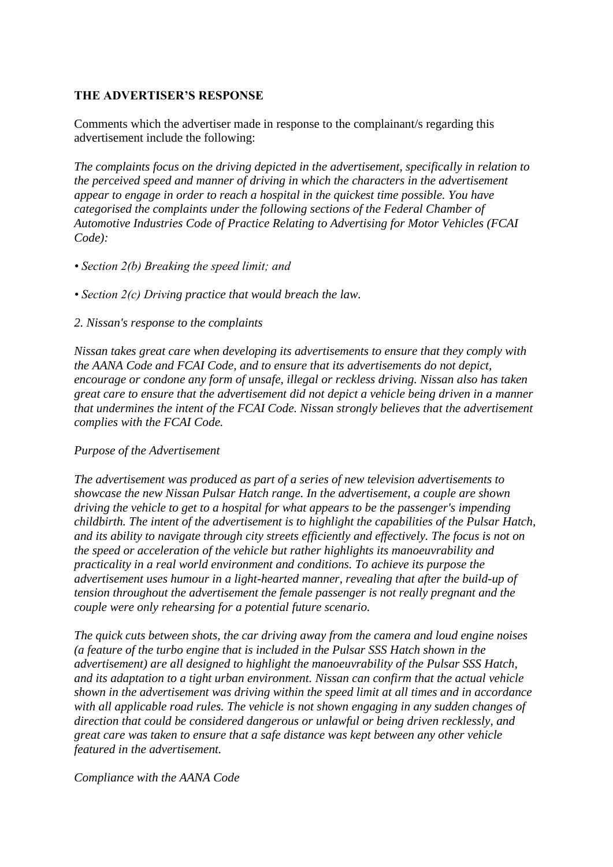#### **THE ADVERTISER'S RESPONSE**

Comments which the advertiser made in response to the complainant/s regarding this advertisement include the following:

*The complaints focus on the driving depicted in the advertisement, specifically in relation to the perceived speed and manner of driving in which the characters in the advertisement appear to engage in order to reach a hospital in the quickest time possible. You have categorised the complaints under the following sections of the Federal Chamber of Automotive Industries Code of Practice Relating to Advertising for Motor Vehicles (FCAI Code):*

- *Section 2(b) Breaking the speed limit; and*
- *Section 2(c) Driving practice that would breach the law.*
- *2. Nissan's response to the complaints*

*Nissan takes great care when developing its advertisements to ensure that they comply with the AANA Code and FCAI Code, and to ensure that its advertisements do not depict, encourage or condone any form of unsafe, illegal or reckless driving. Nissan also has taken great care to ensure that the advertisement did not depict a vehicle being driven in a manner that undermines the intent of the FCAI Code. Nissan strongly believes that the advertisement complies with the FCAI Code.*

## *Purpose of the Advertisement*

*The advertisement was produced as part of a series of new television advertisements to showcase the new Nissan Pulsar Hatch range. In the advertisement, a couple are shown driving the vehicle to get to a hospital for what appears to be the passenger's impending childbirth. The intent of the advertisement is to highlight the capabilities of the Pulsar Hatch, and its ability to navigate through city streets efficiently and effectively. The focus is not on the speed or acceleration of the vehicle but rather highlights its manoeuvrability and practicality in a real world environment and conditions. To achieve its purpose the advertisement uses humour in a light-hearted manner, revealing that after the build-up of tension throughout the advertisement the female passenger is not really pregnant and the couple were only rehearsing for a potential future scenario.*

*The quick cuts between shots, the car driving away from the camera and loud engine noises (a feature of the turbo engine that is included in the Pulsar SSS Hatch shown in the advertisement) are all designed to highlight the manoeuvrability of the Pulsar SSS Hatch, and its adaptation to a tight urban environment. Nissan can confirm that the actual vehicle shown in the advertisement was driving within the speed limit at all times and in accordance with all applicable road rules. The vehicle is not shown engaging in any sudden changes of direction that could be considered dangerous or unlawful or being driven recklessly, and great care was taken to ensure that a safe distance was kept between any other vehicle featured in the advertisement.*

#### *Compliance with the AANA Code*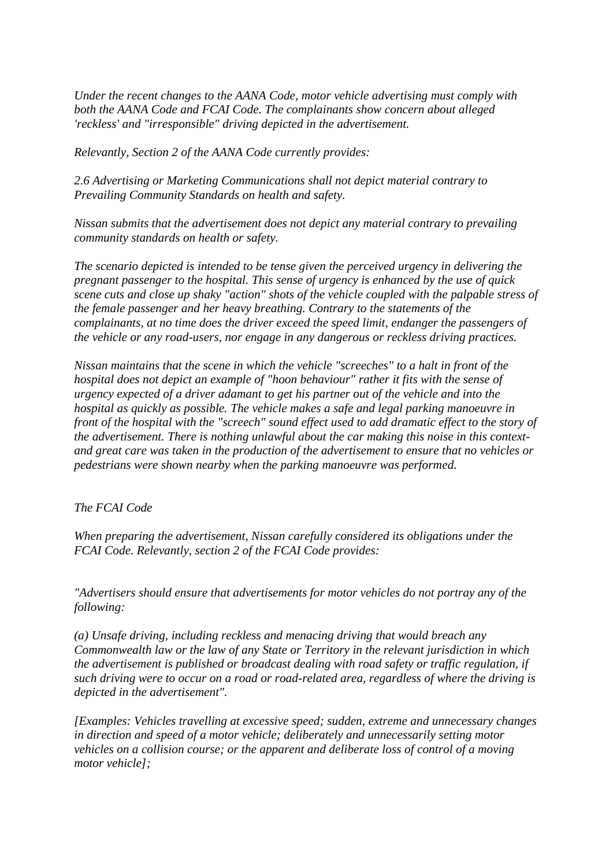*Under the recent changes to the AANA Code, motor vehicle advertising must comply with both the AANA Code and FCAI Code. The complainants show concern about alleged 'reckless' and "irresponsible" driving depicted in the advertisement.*

*Relevantly, Section 2 of the AANA Code currently provides:*

*2.6 Advertising or Marketing Communications shall not depict material contrary to Prevailing Community Standards on health and safety.*

*Nissan submits that the advertisement does not depict any material contrary to prevailing community standards on health or safety.*

*The scenario depicted is intended to be tense given the perceived urgency in delivering the pregnant passenger to the hospital. This sense of urgency is enhanced by the use of quick scene cuts and close up shaky "action" shots of the vehicle coupled with the palpable stress of the female passenger and her heavy breathing. Contrary to the statements of the complainants, at no time does the driver exceed the speed limit, endanger the passengers of the vehicle or any road-users, nor engage in any dangerous or reckless driving practices.*

*Nissan maintains that the scene in which the vehicle "screeches" to a halt in front of the hospital does not depict an example of "hoon behaviour" rather it fits with the sense of urgency expected of a driver adamant to get his partner out of the vehicle and into the hospital as quickly as possible. The vehicle makes a safe and legal parking manoeuvre in front of the hospital with the "screech" sound effect used to add dramatic effect to the story of the advertisement. There is nothing unlawful about the car making this noise in this contextand great care was taken in the production of the advertisement to ensure that no vehicles or pedestrians were shown nearby when the parking manoeuvre was performed.*

*The FCAI Code*

*When preparing the advertisement, Nissan carefully considered its obligations under the FCAI Code. Relevantly, section 2 of the FCAI Code provides:*

*"Advertisers should ensure that advertisements for motor vehicles do not portray any of the following:*

*(a) Unsafe driving, including reckless and menacing driving that would breach any Commonwealth law or the law of any State or Territory in the relevant jurisdiction in which the advertisement is published or broadcast dealing with road safety or traffic regulation, if such driving were to occur on a road or road-related area, regardless of where the driving is depicted in the advertisement".*

*[Examples: Vehicles travelling at excessive speed; sudden, extreme and unnecessary changes in direction and speed of a motor vehicle; deliberately and unnecessarily setting motor vehicles on a collision course; or the apparent and deliberate loss of control of a moving motor vehicle];*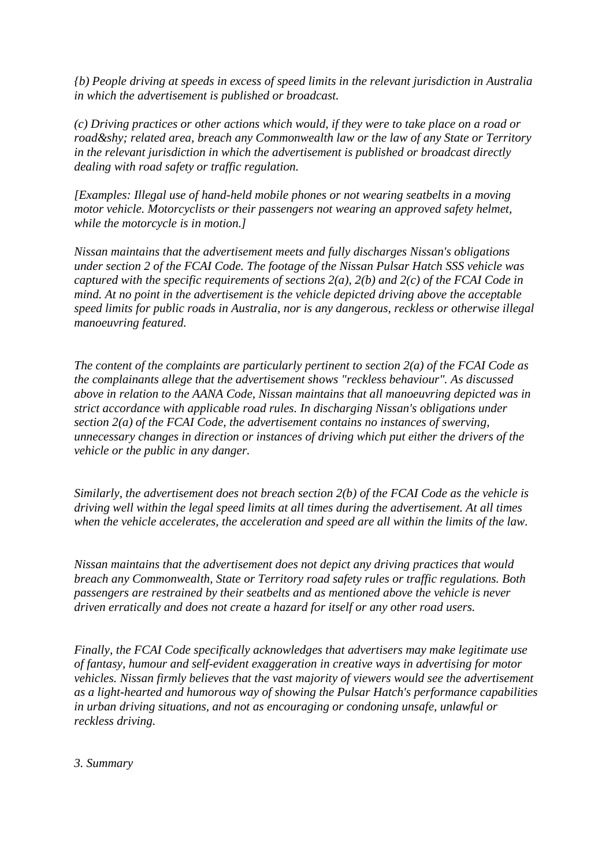*{b) People driving at speeds in excess of speed limits in the relevant jurisdiction in Australia in which the advertisement is published or broadcast.*

*(c) Driving practices or other actions which would, if they were to take place on a road or road­ related area, breach any Commonwealth law or the law of any State or Territory in the relevant jurisdiction in which the advertisement is published or broadcast directly dealing with road safety or traffic regulation.*

*[Examples: Illegal use of hand-held mobile phones or not wearing seatbelts in a moving motor vehicle. Motorcyclists or their passengers not wearing an approved safety helmet, while the motorcycle is in motion.]*

*Nissan maintains that the advertisement meets and fully discharges Nissan's obligations under section 2 of the FCAI Code. The footage of the Nissan Pulsar Hatch SSS vehicle was captured with the specific requirements of sections 2(a), 2(b) and 2(c) of the FCAI Code in mind. At no point in the advertisement is the vehicle depicted driving above the acceptable speed limits for public roads in Australia, nor is any dangerous, reckless or otherwise illegal manoeuvring featured.*

*The content of the complaints are particularly pertinent to section 2(a) of the FCAI Code as the complainants allege that the advertisement shows "reckless behaviour". As discussed above in relation to the AANA Code, Nissan maintains that all manoeuvring depicted was in strict accordance with applicable road rules. In discharging Nissan's obligations under section 2(a) of the FCAI Code, the advertisement contains no instances of swerving, unnecessary changes in direction or instances of driving which put either the drivers of the vehicle or the public in any danger.* 

*Similarly, the advertisement does not breach section 2(b) of the FCAI Code as the vehicle is driving well within the legal speed limits at all times during the advertisement. At all times when the vehicle accelerates, the acceleration and speed are all within the limits of the law.* 

*Nissan maintains that the advertisement does not depict any driving practices that would breach any Commonwealth, State or Territory road safety rules or traffic regulations. Both passengers are restrained by their seatbelts and as mentioned above the vehicle is never driven erratically and does not create a hazard for itself or any other road users.* 

*Finally, the FCAI Code specifically acknowledges that advertisers may make legitimate use of fantasy, humour and self-evident exaggeration in creative ways in advertising for motor vehicles. Nissan firmly believes that the vast majority of viewers would see the advertisement as a light-hearted and humorous way of showing the Pulsar Hatch's performance capabilities in urban driving situations, and not as encouraging or condoning unsafe, unlawful or reckless driving.* 

#### *3. Summary*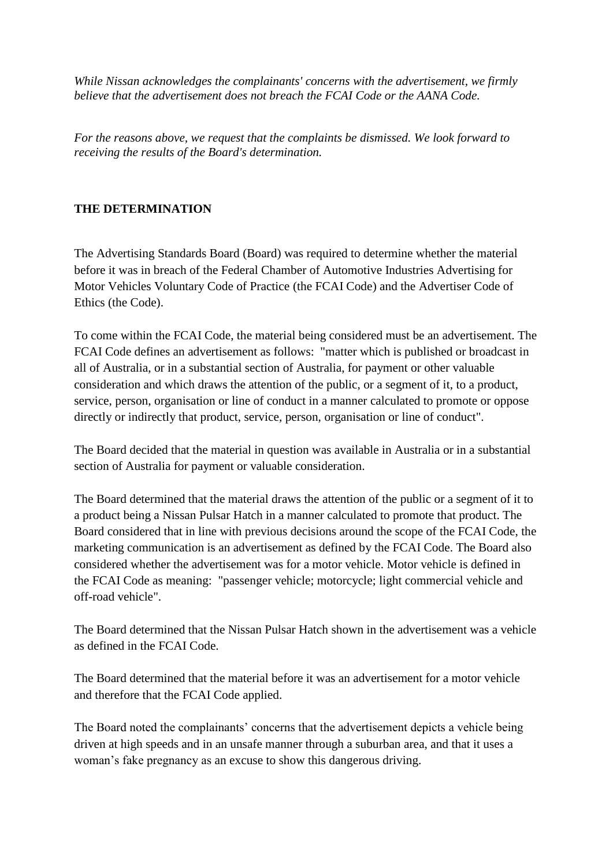*While Nissan acknowledges the complainants' concerns with the advertisement, we firmly believe that the advertisement does not breach the FCAI Code or the AANA Code.* 

*For the reasons above, we request that the complaints be dismissed. We look forward to receiving the results of the Board's determination.* 

## **THE DETERMINATION**

The Advertising Standards Board (Board) was required to determine whether the material before it was in breach of the Federal Chamber of Automotive Industries Advertising for Motor Vehicles Voluntary Code of Practice (the FCAI Code) and the Advertiser Code of Ethics (the Code).

To come within the FCAI Code, the material being considered must be an advertisement. The FCAI Code defines an advertisement as follows: "matter which is published or broadcast in all of Australia, or in a substantial section of Australia, for payment or other valuable consideration and which draws the attention of the public, or a segment of it, to a product, service, person, organisation or line of conduct in a manner calculated to promote or oppose directly or indirectly that product, service, person, organisation or line of conduct".

The Board decided that the material in question was available in Australia or in a substantial section of Australia for payment or valuable consideration.

The Board determined that the material draws the attention of the public or a segment of it to a product being a Nissan Pulsar Hatch in a manner calculated to promote that product. The Board considered that in line with previous decisions around the scope of the FCAI Code, the marketing communication is an advertisement as defined by the FCAI Code. The Board also considered whether the advertisement was for a motor vehicle. Motor vehicle is defined in the FCAI Code as meaning: "passenger vehicle; motorcycle; light commercial vehicle and off-road vehicle".

The Board determined that the Nissan Pulsar Hatch shown in the advertisement was a vehicle as defined in the FCAI Code.

The Board determined that the material before it was an advertisement for a motor vehicle and therefore that the FCAI Code applied.

The Board noted the complainants' concerns that the advertisement depicts a vehicle being driven at high speeds and in an unsafe manner through a suburban area, and that it uses a woman's fake pregnancy as an excuse to show this dangerous driving.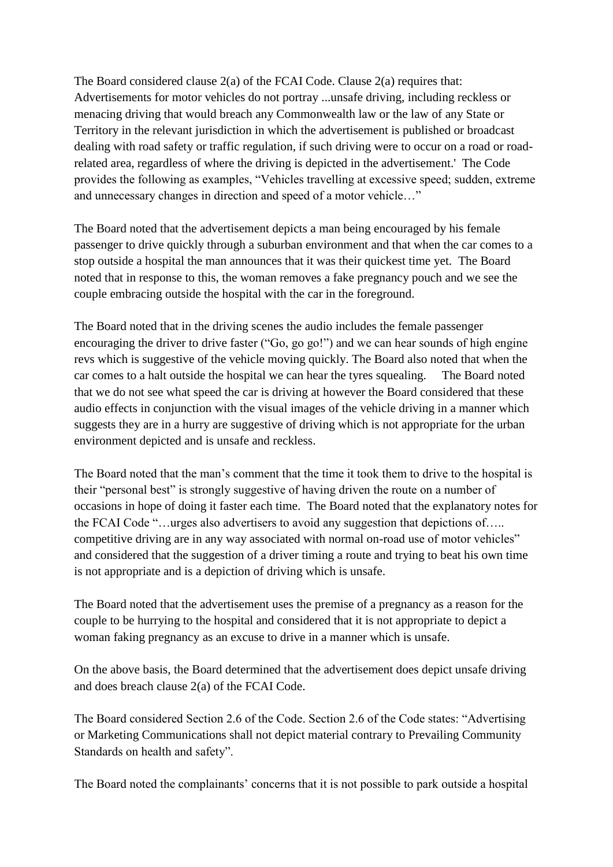The Board considered clause 2(a) of the FCAI Code. Clause 2(a) requires that: Advertisements for motor vehicles do not portray ...unsafe driving, including reckless or menacing driving that would breach any Commonwealth law or the law of any State or Territory in the relevant jurisdiction in which the advertisement is published or broadcast dealing with road safety or traffic regulation, if such driving were to occur on a road or roadrelated area, regardless of where the driving is depicted in the advertisement.' The Code provides the following as examples, "Vehicles travelling at excessive speed; sudden, extreme and unnecessary changes in direction and speed of a motor vehicle…"

The Board noted that the advertisement depicts a man being encouraged by his female passenger to drive quickly through a suburban environment and that when the car comes to a stop outside a hospital the man announces that it was their quickest time yet. The Board noted that in response to this, the woman removes a fake pregnancy pouch and we see the couple embracing outside the hospital with the car in the foreground.

The Board noted that in the driving scenes the audio includes the female passenger encouraging the driver to drive faster ("Go, go go!") and we can hear sounds of high engine revs which is suggestive of the vehicle moving quickly. The Board also noted that when the car comes to a halt outside the hospital we can hear the tyres squealing. The Board noted that we do not see what speed the car is driving at however the Board considered that these audio effects in conjunction with the visual images of the vehicle driving in a manner which suggests they are in a hurry are suggestive of driving which is not appropriate for the urban environment depicted and is unsafe and reckless.

The Board noted that the man"s comment that the time it took them to drive to the hospital is their "personal best" is strongly suggestive of having driven the route on a number of occasions in hope of doing it faster each time. The Board noted that the explanatory notes for the FCAI Code "…urges also advertisers to avoid any suggestion that depictions of….. competitive driving are in any way associated with normal on-road use of motor vehicles" and considered that the suggestion of a driver timing a route and trying to beat his own time is not appropriate and is a depiction of driving which is unsafe.

The Board noted that the advertisement uses the premise of a pregnancy as a reason for the couple to be hurrying to the hospital and considered that it is not appropriate to depict a woman faking pregnancy as an excuse to drive in a manner which is unsafe.

On the above basis, the Board determined that the advertisement does depict unsafe driving and does breach clause 2(a) of the FCAI Code.

The Board considered Section 2.6 of the Code. Section 2.6 of the Code states: "Advertising or Marketing Communications shall not depict material contrary to Prevailing Community Standards on health and safety".

The Board noted the complainants' concerns that it is not possible to park outside a hospital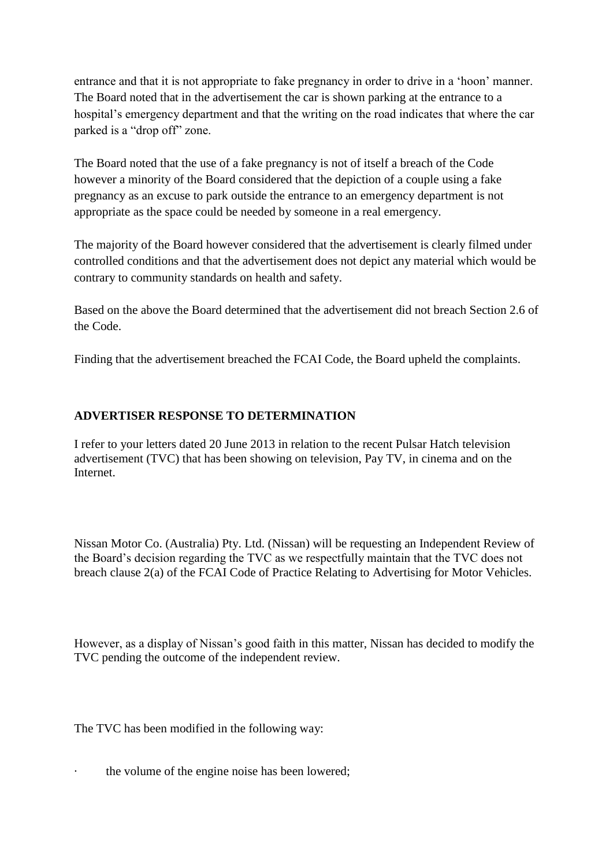entrance and that it is not appropriate to fake pregnancy in order to drive in a "hoon" manner. The Board noted that in the advertisement the car is shown parking at the entrance to a hospital's emergency department and that the writing on the road indicates that where the car parked is a "drop off" zone.

The Board noted that the use of a fake pregnancy is not of itself a breach of the Code however a minority of the Board considered that the depiction of a couple using a fake pregnancy as an excuse to park outside the entrance to an emergency department is not appropriate as the space could be needed by someone in a real emergency.

The majority of the Board however considered that the advertisement is clearly filmed under controlled conditions and that the advertisement does not depict any material which would be contrary to community standards on health and safety.

Based on the above the Board determined that the advertisement did not breach Section 2.6 of the Code.

Finding that the advertisement breached the FCAI Code, the Board upheld the complaints.

## **ADVERTISER RESPONSE TO DETERMINATION**

I refer to your letters dated 20 June 2013 in relation to the recent Pulsar Hatch television advertisement (TVC) that has been showing on television, Pay TV, in cinema and on the Internet.

Nissan Motor Co. (Australia) Pty. Ltd. (Nissan) will be requesting an Independent Review of the Board"s decision regarding the TVC as we respectfully maintain that the TVC does not breach clause 2(a) of the FCAI Code of Practice Relating to Advertising for Motor Vehicles.

However, as a display of Nissan"s good faith in this matter, Nissan has decided to modify the TVC pending the outcome of the independent review.

The TVC has been modified in the following way:

· the volume of the engine noise has been lowered;